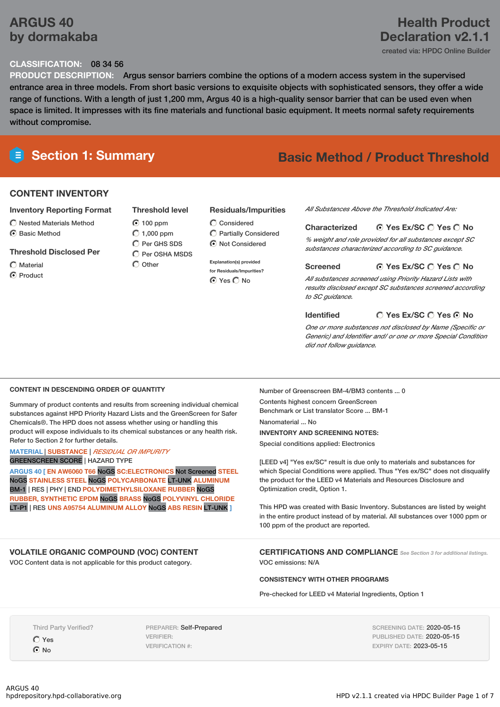# **ARGUS 40 by dormakaba**

# **CLASSIFICATION:** 08 34 56

**PRODUCT DESCRIPTION:** Argus sensor barriers combine the options of a modern access system in the supervised entrance area in three models. From short basic versions to exquisite objects with sophisticated sensors, they offer a wide range of functions. With a length of just 1,200 mm, Argus 40 is a high-quality sensor barrier that can be used even when space is limited. It impresses with its fine materials and functional basic equipment. It meets normal safety requirements without compromise.

# **Section 1: Summary Basic Method / Product Threshold**

# **CONTENT INVENTORY**

### **Inventory Reporting Format**

 $\bigcirc$  Nested Materials Method C Basic Method

## **Threshold Disclosed Per**

- Material
- C Product

## **Threshold level**

- $\odot$  100 ppm  $O$  1,000 ppm Per GHS SDS C Per OSHA MSDS
- $\bigcap$  Other

## **Residuals/Impurities**

- Considered Partially Considered  $\odot$  Not Considered
- **Explanation(s) provided for Residuals/Impurities?** O Yes O No

### *All Substances Above the Threshold Indicated Are:*

**Yes Ex/SC Yes No Characterized** *% weight and role provided for all substances except SC substances characterized according to SC guidance.*

#### **Yes Ex/SC Yes No Screened**

*All substances screened using Priority Hazard Lists with results disclosed except SC substances screened according to SC guidance.*

#### **Identified**

#### **Yes Ex/SC Yes No**

*One or more substances not disclosed by Name (Specific or Generic) and Identifier and/ or one or more Special Condition did not follow guidance.*

# **CONTENT IN DESCENDING ORDER OF QUANTITY**

Summary of product contents and results from screening individual chemical substances against HPD Priority Hazard Lists and the GreenScreen for Safer Chemicals®. The HPD does not assess whether using or handling this product will expose individuals to its chemical substances or any health risk. Refer to Section 2 for further details.

# **MATERIAL** | **SUBSTANCE** | *RESIDUAL OR IMPURITY* GREENSCREEN SCORE | HAZARD TYPE

**ARGUS 40 [ EN AW6060 T66** NoGS **SC:ELECTRONICS** Not Screened **STEEL** NoGS **STAINLESS STEEL** NoGS **POLYCARBONATE** LT-UNK **ALUMINUM** BM-1 | RES | PHY | END **POLYDIMETHYLSILOXANE RUBBER** NoGS **RUBBER, SYNTHETIC EPDM** NoGS **BRASS** NoGS **POLYVINYL CHLORIDE** LT-P1 | RES **UNS A95754 ALUMINUM ALLOY** NoGS **ABS RESIN** LT-UNK **]**

# **VOLATILE ORGANIC COMPOUND (VOC) CONTENT**

VOC Content data is not applicable for this product category.

Number of Greenscreen BM-4/BM3 contents ... 0

Contents highest concern GreenScreen Benchmark or List translator Score ... BM-1 Nanomaterial No **INVENTORY AND SCREENING NOTES:**

Special conditions applied: Electronics

[LEED v4] "Yes ex/SC" result is due only to materials and substances for which Special Conditions were applied. Thus "Yes ex/SC" does not disqualify the product for the LEED v4 Materials and Resources Disclosure and Optimization credit, Option 1.

This HPD was created with Basic Inventory. Substances are listed by weight in the entire product instead of by material. All substances over 1000 ppm or 100 ppm of the product are reported.

**CERTIFICATIONS AND COMPLIANCE** *See Section <sup>3</sup> for additional listings.* VOC emissions: N/A

#### **CONSISTENCY WITH OTHER PROGRAMS**

Pre-checked for LEED v4 Material Ingredients, Option 1

Third Party Verified? Yes

**⊙**No

PREPARER: Self-Prepared VERIFIER: VERIFICATION #:

SCREENING DATE: 2020-05-15 PUBLISHED DATE: 2020-05-15 EXPIRY DATE: 2023-05-15

# **Health Product Declaration v2.1.1**

created via: HPDC Online Builder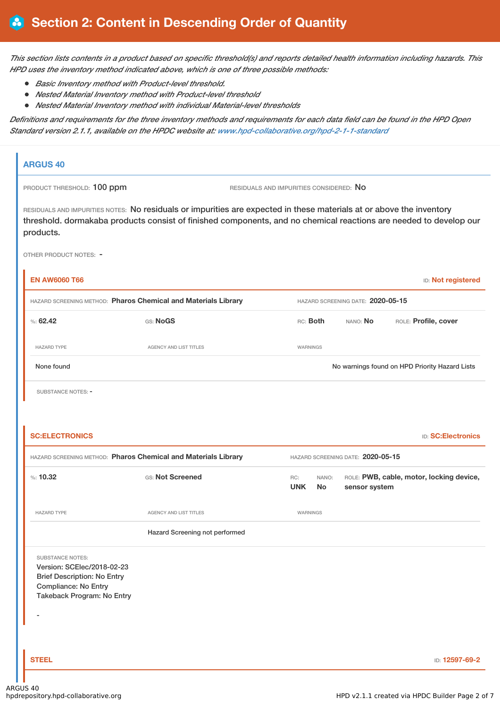This section lists contents in a product based on specific threshold(s) and reports detailed health information including hazards. This *HPD uses the inventory method indicated above, which is one of three possible methods:*

- *Basic Inventory method with Product-level threshold.*
- *Nested Material Inventory method with Product-level threshold*
- *Nested Material Inventory method with individual Material-level thresholds*

Definitions and requirements for the three inventory methods and requirements for each data field can be found in the HPD Open *Standard version 2.1.1, available on the HPDC website at: [www.hpd-collaborative.org/hpd-2-1-1-standard](https://www.hpd-collaborative.org/hpd-2-1-1-standard)*

# **ARGUS 40**

PRODUCT THRESHOLD: 100 ppm RESIDUALS AND IMPURITIES CONSIDERED: No

RESIDUALS AND IMPURITIES NOTES: No residuals or impurities are expected in these materials at or above the inventory threshold. dormakaba products consist of finished components, and no chemical reactions are needed to develop our products.

OTHER PRODUCT NOTES: -

| <b>EN AW6060 T66</b>                                           |                        |                                   |                 | <b>ID:</b> Not registered                      |
|----------------------------------------------------------------|------------------------|-----------------------------------|-----------------|------------------------------------------------|
| HAZARD SCREENING METHOD: Pharos Chemical and Materials Library |                        | HAZARD SCREENING DATE: 2020-05-15 |                 |                                                |
| %: $62.42$                                                     | GS: NoGS               | RC: Both                          | NANO: <b>No</b> | ROLE: Profile, cover                           |
| <b>HAZARD TYPE</b>                                             | AGENCY AND LIST TITLES | WARNINGS                          |                 |                                                |
| None found                                                     |                        |                                   |                 | No warnings found on HPD Priority Hazard Lists |
| SUBSTANCE NOTES: -                                             |                        |                                   |                 |                                                |
|                                                                |                        |                                   |                 |                                                |

**SC:ELECTRONICS** ID: **SC:Electronics**

|                                |                                                                |                    | HAZARD SCREENING DATE: 2020-05-15                         |
|--------------------------------|----------------------------------------------------------------|--------------------|-----------------------------------------------------------|
| GS: Not Screened               | RC:<br><b>UNK</b>                                              | NANO:<br><b>No</b> | ROLE: PWB, cable, motor, locking device,<br>sensor system |
| AGENCY AND LIST TITLES         |                                                                |                    |                                                           |
| Hazard Screening not performed |                                                                |                    |                                                           |
|                                |                                                                |                    |                                                           |
|                                |                                                                |                    | ID: 12597-69-2                                            |
|                                | HAZARD SCREENING METHOD: Pharos Chemical and Materials Library |                    | WARNINGS                                                  |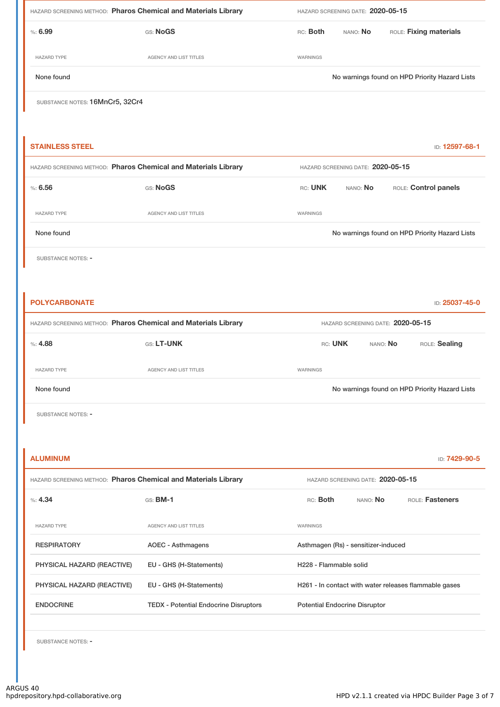| HAZARD SCREENING METHOD: Pharos Chemical and Materials Library |                                              | HAZARD SCREENING DATE: 2020-05-15              |                                      |                                                       |  |
|----------------------------------------------------------------|----------------------------------------------|------------------------------------------------|--------------------------------------|-------------------------------------------------------|--|
| %5.99                                                          | GS: NoGS                                     | RC: Both                                       | NANO: No                             | ROLE: Fixing materials                                |  |
| <b>HAZARD TYPE</b>                                             | <b>AGENCY AND LIST TITLES</b>                | WARNINGS                                       |                                      |                                                       |  |
| None found                                                     |                                              |                                                |                                      | No warnings found on HPD Priority Hazard Lists        |  |
| SUBSTANCE NOTES: 16MnCr5, 32Cr4                                |                                              |                                                |                                      |                                                       |  |
|                                                                |                                              |                                                |                                      |                                                       |  |
| <b>STAINLESS STEEL</b>                                         |                                              |                                                |                                      | ID: 12597-68-1                                        |  |
| HAZARD SCREENING METHOD: Pharos Chemical and Materials Library |                                              |                                                | HAZARD SCREENING DATE: 2020-05-15    |                                                       |  |
| %56,56                                                         | GS: NoGS                                     | RC: UNK                                        | NANO: No                             | ROLE: Control panels                                  |  |
| <b>HAZARD TYPE</b>                                             | AGENCY AND LIST TITLES                       | WARNINGS                                       |                                      |                                                       |  |
| None found                                                     |                                              |                                                |                                      | No warnings found on HPD Priority Hazard Lists        |  |
| SUBSTANCE NOTES: -                                             |                                              |                                                |                                      |                                                       |  |
|                                                                |                                              |                                                |                                      |                                                       |  |
| <b>POLYCARBONATE</b>                                           |                                              |                                                |                                      | ID: 25037-45-0                                        |  |
| HAZARD SCREENING METHOD: Pharos Chemical and Materials Library |                                              |                                                |                                      | HAZARD SCREENING DATE: 2020-05-15                     |  |
| %: 4.88                                                        | GS: LT-UNK                                   | RC: UNK                                        |                                      | NANO: No<br>ROLE: Sealing                             |  |
| <b>HAZARD TYPE</b>                                             | <b>AGENCY AND LIST TITLES</b>                | WARNINGS                                       |                                      |                                                       |  |
| None found                                                     |                                              | No warnings found on HPD Priority Hazard Lists |                                      |                                                       |  |
| SUBSTANCE NOTES: -                                             |                                              |                                                |                                      |                                                       |  |
|                                                                |                                              |                                                |                                      |                                                       |  |
| <b>ALUMINUM</b>                                                |                                              |                                                |                                      | ID: 7429-90-5                                         |  |
| HAZARD SCREENING METHOD: Pharos Chemical and Materials Library |                                              |                                                | HAZARD SCREENING DATE: 2020-05-15    |                                                       |  |
| %: 4.34                                                        | GS: <b>BM-1</b>                              | RC: Both                                       | NANO: No                             | ROLE: Fasteners                                       |  |
| <b>HAZARD TYPE</b>                                             | AGENCY AND LIST TITLES                       | WARNINGS                                       |                                      |                                                       |  |
| <b>RESPIRATORY</b>                                             | AOEC - Asthmagens                            |                                                | Asthmagen (Rs) - sensitizer-induced  |                                                       |  |
| PHYSICAL HAZARD (REACTIVE)                                     | EU - GHS (H-Statements)                      | H228 - Flammable solid                         |                                      |                                                       |  |
| PHYSICAL HAZARD (REACTIVE)                                     | EU - GHS (H-Statements)                      |                                                |                                      | H261 - In contact with water releases flammable gases |  |
| <b>ENDOCRINE</b>                                               | <b>TEDX - Potential Endocrine Disruptors</b> |                                                | <b>Potential Endocrine Disruptor</b> |                                                       |  |
|                                                                |                                              |                                                |                                      |                                                       |  |

SUBSTANCE NOTES: -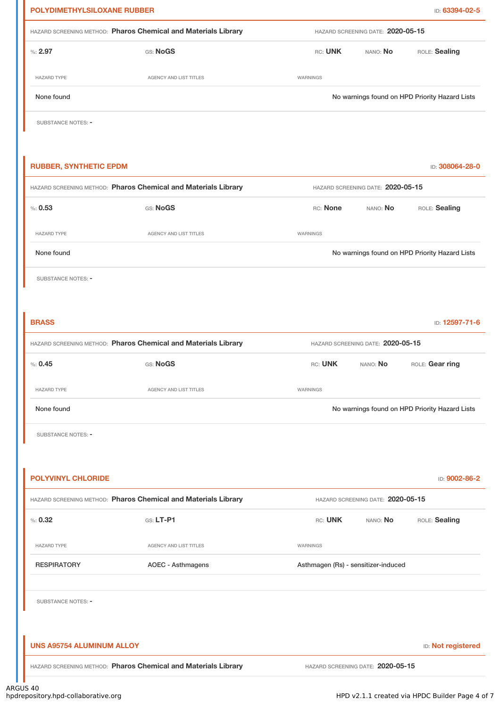| <b>POLYDIMETHYLSILOXANE RUBBER</b>                             |                                                                |                                     |                                   | ID: 63394-02-5                                 |  |
|----------------------------------------------------------------|----------------------------------------------------------------|-------------------------------------|-----------------------------------|------------------------------------------------|--|
|                                                                | HAZARD SCREENING METHOD: Pharos Chemical and Materials Library |                                     | HAZARD SCREENING DATE: 2020-05-15 |                                                |  |
| %2.97                                                          | GS: NoGS                                                       | RC: UNK                             | NANO: No                          | ROLE: Sealing                                  |  |
| <b>HAZARD TYPE</b>                                             | AGENCY AND LIST TITLES                                         | WARNINGS                            |                                   |                                                |  |
| None found                                                     |                                                                |                                     |                                   | No warnings found on HPD Priority Hazard Lists |  |
| SUBSTANCE NOTES: -                                             |                                                                |                                     |                                   |                                                |  |
|                                                                |                                                                |                                     |                                   |                                                |  |
| <b>RUBBER, SYNTHETIC EPDM</b>                                  |                                                                |                                     |                                   | ID: 308064-28-0                                |  |
| HAZARD SCREENING METHOD: Pharos Chemical and Materials Library |                                                                |                                     | HAZARD SCREENING DATE: 2020-05-15 |                                                |  |
| %: 0.53                                                        | GS: NoGS                                                       | RC: None                            | NANO: No                          | ROLE: Sealing                                  |  |
| <b>HAZARD TYPE</b>                                             | <b>AGENCY AND LIST TITLES</b>                                  | <b>WARNINGS</b>                     |                                   |                                                |  |
| None found                                                     |                                                                |                                     |                                   | No warnings found on HPD Priority Hazard Lists |  |
| SUBSTANCE NOTES: -                                             |                                                                |                                     |                                   |                                                |  |
|                                                                |                                                                |                                     |                                   |                                                |  |
| <b>BRASS</b>                                                   |                                                                |                                     |                                   | ID: 12597-71-6                                 |  |
|                                                                | HAZARD SCREENING METHOD: Pharos Chemical and Materials Library |                                     | HAZARD SCREENING DATE: 2020-05-15 |                                                |  |
| % 0.45                                                         | GS: NoGS                                                       | RC: UNK                             | NANO: No                          | ROLE: Gear ring                                |  |
| <b>HAZARD TYPE</b>                                             | AGENCY AND LIST TITLES                                         | WARNINGS                            |                                   |                                                |  |
| None found                                                     |                                                                |                                     |                                   | No warnings found on HPD Priority Hazard Lists |  |
| SUBSTANCE NOTES: -                                             |                                                                |                                     |                                   |                                                |  |
|                                                                |                                                                |                                     |                                   |                                                |  |
| <b>POLYVINYL CHLORIDE</b>                                      |                                                                |                                     |                                   | ID: 9002-86-2                                  |  |
| HAZARD SCREENING METHOD: Pharos Chemical and Materials Library |                                                                |                                     | HAZARD SCREENING DATE: 2020-05-15 |                                                |  |
| % 0.32                                                         | $G.S. LT-P1$                                                   | RC: UNK                             | NANO: No                          | ROLE: Sealing                                  |  |
| <b>HAZARD TYPE</b>                                             | <b>AGENCY AND LIST TITLES</b>                                  | WARNINGS                            |                                   |                                                |  |
| <b>RESPIRATORY</b>                                             | <b>AOEC - Asthmagens</b>                                       | Asthmagen (Rs) - sensitizer-induced |                                   |                                                |  |
|                                                                |                                                                |                                     |                                   |                                                |  |
| SUBSTANCE NOTES: -                                             |                                                                |                                     |                                   |                                                |  |
|                                                                |                                                                |                                     |                                   |                                                |  |
| <b>UNS A95754 ALUMINUM ALLOY</b>                               |                                                                |                                     |                                   | <b>ID: Not registered</b>                      |  |
|                                                                | HAZARD SCREENING METHOD: Pharos Chemical and Materials Library |                                     | HAZARD SCREENING DATE: 2020-05-15 |                                                |  |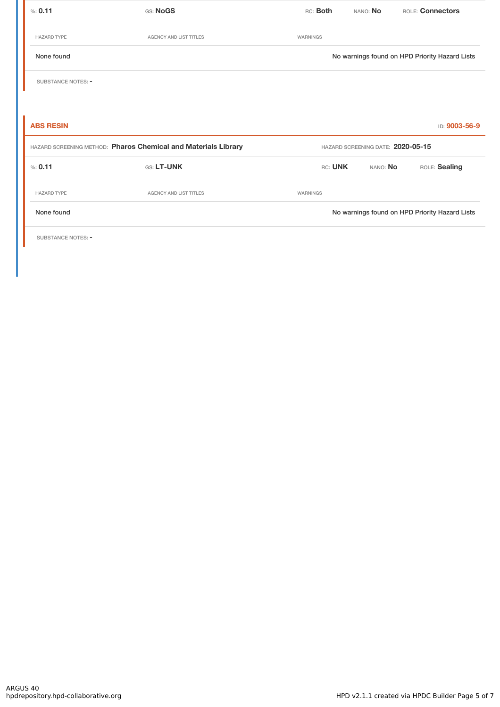| % 0.11                                                         | GS: NoGS               | RC: Both                          | NANO: No | ROLE: Connectors                               |
|----------------------------------------------------------------|------------------------|-----------------------------------|----------|------------------------------------------------|
| <b>HAZARD TYPE</b>                                             | AGENCY AND LIST TITLES | WARNINGS                          |          |                                                |
| None found                                                     |                        |                                   |          | No warnings found on HPD Priority Hazard Lists |
| SUBSTANCE NOTES: -                                             |                        |                                   |          |                                                |
|                                                                |                        |                                   |          |                                                |
| <b>ABS RESIN</b>                                               |                        |                                   |          | ID: 9003-56-9                                  |
| HAZARD SCREENING METHOD: Pharos Chemical and Materials Library |                        | HAZARD SCREENING DATE: 2020-05-15 |          |                                                |
| % 0.11                                                         | GS: LT-UNK             | RC: UNK                           | NANO: No | ROLE: Sealing                                  |
| <b>HAZARD TYPE</b>                                             | AGENCY AND LIST TITLES | WARNINGS                          |          |                                                |
| None found                                                     |                        |                                   |          | No warnings found on HPD Priority Hazard Lists |

SUBSTANCE NOTES: -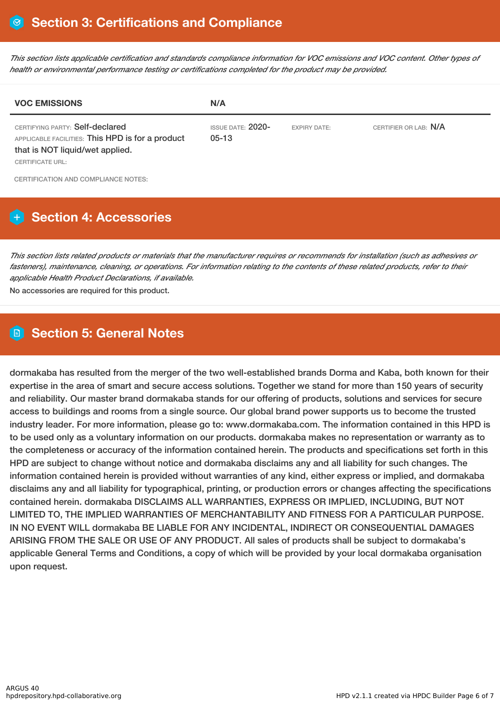This section lists applicable certification and standards compliance information for VOC emissions and VOC content. Other types of *health or environmental performance testing or certifications completed for the product may be provided.*

| <b>VOC EMISSIONS</b>                                                                                                                       | N/A                                 |                     |                       |
|--------------------------------------------------------------------------------------------------------------------------------------------|-------------------------------------|---------------------|-----------------------|
| CERTIFYING PARTY: Self-declared<br>APPLICABLE FACILITIES: This HPD is for a product<br>that is NOT liquid/wet applied.<br>CERTIFICATE URL: | <b>ISSUE DATE: 2020-</b><br>$05-13$ | <b>EXPIRY DATE:</b> | CERTIFIER OR LAB: N/A |
| CERTIFICATION AND COMPLIANCE NOTES:                                                                                                        |                                     |                     |                       |

# **H** Section 4: Accessories

This section lists related products or materials that the manufacturer requires or recommends for installation (such as adhesives or fasteners), maintenance, cleaning, or operations. For information relating to the contents of these related products, refer to their *applicable Health Product Declarations, if available.*

No accessories are required for this product.

# **Section 5: General Notes**

dormakaba has resulted from the merger of the two well-established brands Dorma and Kaba, both known for their expertise in the area of smart and secure access solutions. Together we stand for more than 150 years of security and reliability. Our master brand dormakaba stands for our offering of products, solutions and services for secure access to buildings and rooms from a single source. Our global brand power supports us to become the trusted industry leader. For more information, please go to: www.dormakaba.com. The information contained in this HPD is to be used only as a voluntary information on our products. dormakaba makes no representation or warranty as to the completeness or accuracy of the information contained herein. The products and specifications set forth in this HPD are subject to change without notice and dormakaba disclaims any and all liability for such changes. The information contained herein is provided without warranties of any kind, either express or implied, and dormakaba disclaims any and all liability for typographical, printing, or production errors or changes affecting the specifications contained herein. dormakaba DISCLAIMS ALL WARRANTIES, EXPRESS OR IMPLIED, INCLUDING, BUT NOT LIMITED TO, THE IMPLIED WARRANTIES OF MERCHANTABILITY AND FITNESS FOR A PARTICULAR PURPOSE. IN NO EVENT WILL dormakaba BE LIABLE FOR ANY INCIDENTAL, INDIRECT OR CONSEQUENTIAL DAMAGES ARISING FROM THE SALE OR USE OF ANY PRODUCT. All sales of products shall be subject to dormakaba's applicable General Terms and Conditions, a copy of which will be provided by your local dormakaba organisation upon request.